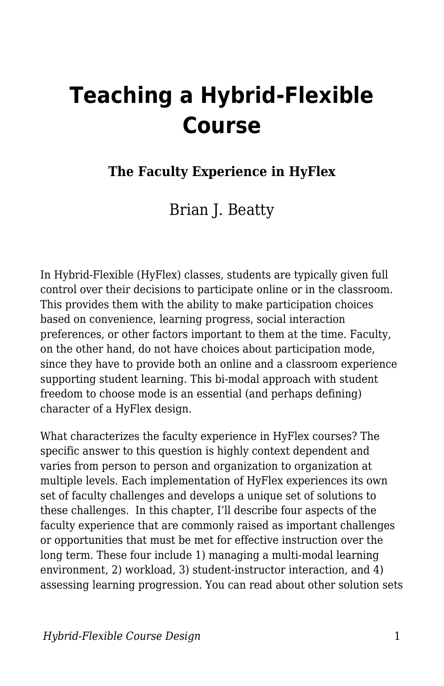# **Teaching a Hybrid-Flexible Course**

#### **The Faculty Experience in HyFlex**

Brian J. Beatty

In Hybrid-Flexible (HyFlex) classes, students are typically given full control over their decisions to participate online or in the classroom. This provides them with the ability to make participation choices based on convenience, learning progress, social interaction preferences, or other factors important to them at the time. Faculty, on the other hand, do not have choices about participation mode, since they have to provide both an online and a classroom experience supporting student learning. This bi-modal approach with student freedom to choose mode is an essential (and perhaps defining) character of a HyFlex design.

What characterizes the faculty experience in HyFlex courses? The specific answer to this question is highly context dependent and varies from person to person and organization to organization at multiple levels. Each implementation of HyFlex experiences its own set of faculty challenges and develops a unique set of solutions to these challenges. In this chapter, I'll describe four aspects of the faculty experience that are commonly raised as important challenges or opportunities that must be met for effective instruction over the long term. These four include 1) managing a multi-modal learning environment, 2) workload, 3) student-instructor interaction, and 4) assessing learning progression. You can read about other solution sets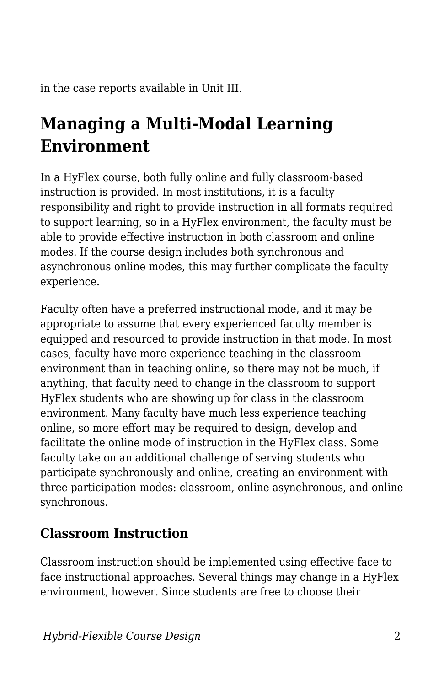in the case reports available in Unit III.

# **Managing a Multi-Modal Learning Environment**

In a HyFlex course, both fully online and fully classroom-based instruction is provided. In most institutions, it is a faculty responsibility and right to provide instruction in all formats required to support learning, so in a HyFlex environment, the faculty must be able to provide effective instruction in both classroom and online modes. If the course design includes both synchronous and asynchronous online modes, this may further complicate the faculty experience.

Faculty often have a preferred instructional mode, and it may be appropriate to assume that every experienced faculty member is equipped and resourced to provide instruction in that mode. In most cases, faculty have more experience teaching in the classroom environment than in teaching online, so there may not be much, if anything, that faculty need to change in the classroom to support HyFlex students who are showing up for class in the classroom environment. Many faculty have much less experience teaching online, so more effort may be required to design, develop and facilitate the online mode of instruction in the HyFlex class. Some faculty take on an additional challenge of serving students who participate synchronously and online, creating an environment with three participation modes: classroom, online asynchronous, and online synchronous.

### **Classroom Instruction**

Classroom instruction should be implemented using effective face to face instructional approaches. Several things may change in a HyFlex environment, however. Since students are free to choose their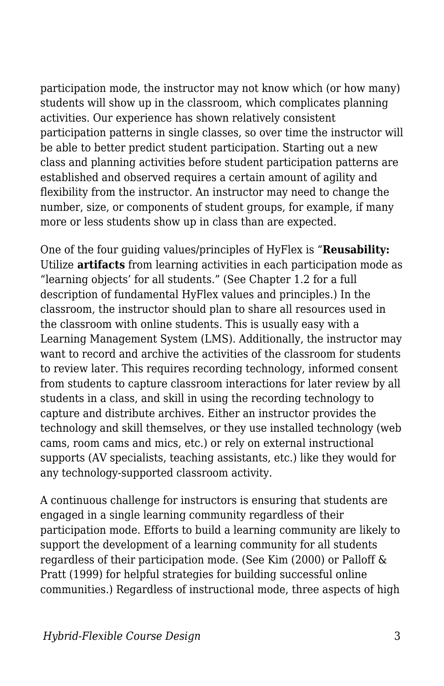participation mode, the instructor may not know which (or how many) students will show up in the classroom, which complicates planning activities. Our experience has shown relatively consistent participation patterns in single classes, so over time the instructor will be able to better predict student participation. Starting out a new class and planning activities before student participation patterns are established and observed requires a certain amount of agility and flexibility from the instructor. An instructor may need to change the number, size, or components of student groups, for example, if many more or less students show up in class than are expected.

One of the four guiding values/principles of HyFlex is "**Reusability:** Utilize **artifacts** from learning activities in each participation mode as "learning objects' for all students." (See Chapter 1.2 for a full description of fundamental HyFlex values and principles.) In the classroom, the instructor should plan to share all resources used in the classroom with online students. This is usually easy with a Learning Management System (LMS). Additionally, the instructor may want to record and archive the activities of the classroom for students to review later. This requires recording technology, informed consent from students to capture classroom interactions for later review by all students in a class, and skill in using the recording technology to capture and distribute archives. Either an instructor provides the technology and skill themselves, or they use installed technology (web cams, room cams and mics, etc.) or rely on external instructional supports (AV specialists, teaching assistants, etc.) like they would for any technology-supported classroom activity.

A continuous challenge for instructors is ensuring that students are engaged in a single learning community regardless of their participation mode. Efforts to build a learning community are likely to support the development of a learning community for all students regardless of their participation mode. (See Kim (2000) or Palloff & Pratt (1999) for helpful strategies for building successful online communities.) Regardless of instructional mode, three aspects of high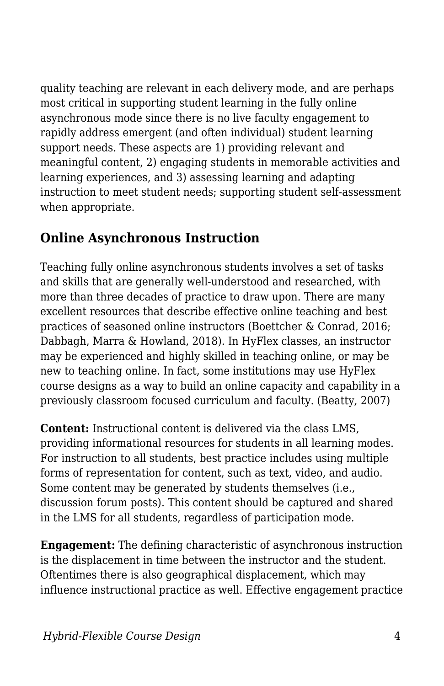quality teaching are relevant in each delivery mode, and are perhaps most critical in supporting student learning in the fully online asynchronous mode since there is no live faculty engagement to rapidly address emergent (and often individual) student learning support needs. These aspects are 1) providing relevant and meaningful content, 2) engaging students in memorable activities and learning experiences, and 3) assessing learning and adapting instruction to meet student needs; supporting student self-assessment when appropriate.

### **Online Asynchronous Instruction**

Teaching fully online asynchronous students involves a set of tasks and skills that are generally well-understood and researched, with more than three decades of practice to draw upon. There are many excellent resources that describe effective online teaching and best practices of seasoned online instructors (Boettcher & Conrad, 2016; Dabbagh, Marra & Howland, 2018). In HyFlex classes, an instructor may be experienced and highly skilled in teaching online, or may be new to teaching online. In fact, some institutions may use HyFlex course designs as a way to build an online capacity and capability in a previously classroom focused curriculum and faculty. (Beatty, 2007)

**Content:** Instructional content is delivered via the class LMS, providing informational resources for students in all learning modes. For instruction to all students, best practice includes using multiple forms of representation for content, such as text, video, and audio. Some content may be generated by students themselves (i.e., discussion forum posts). This content should be captured and shared in the LMS for all students, regardless of participation mode.

**Engagement:** The defining characteristic of asynchronous instruction is the displacement in time between the instructor and the student. Oftentimes there is also geographical displacement, which may influence instructional practice as well. Effective engagement practice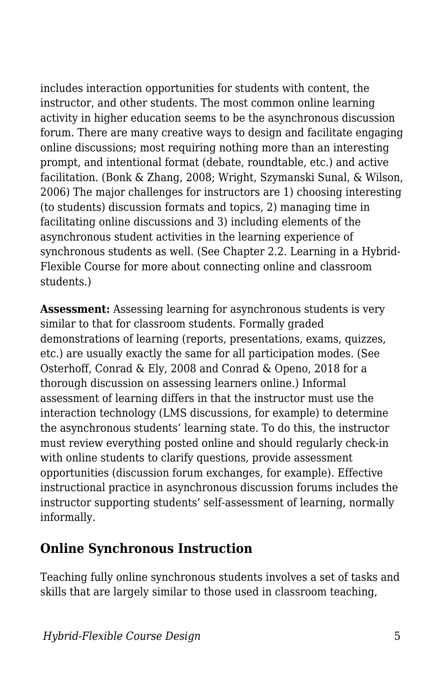includes interaction opportunities for students with content, the instructor, and other students. The most common online learning activity in higher education seems to be the asynchronous discussion forum. There are many creative ways to design and facilitate engaging online discussions; most requiring nothing more than an interesting prompt, and intentional format (debate, roundtable, etc.) and active facilitation. (Bonk & Zhang, 2008; Wright, Szymanski Sunal, & Wilson, 2006) The major challenges for instructors are 1) choosing interesting (to students) discussion formats and topics, 2) managing time in facilitating online discussions and 3) including elements of the asynchronous student activities in the learning experience of synchronous students as well. (See Chapter 2.2. Learning in a Hybrid-Flexible Course for more about connecting online and classroom students.)

**Assessment:** Assessing learning for asynchronous students is very similar to that for classroom students. Formally graded demonstrations of learning (reports, presentations, exams, quizzes, etc.) are usually exactly the same for all participation modes. (See Osterhoff, Conrad & Ely, 2008 and Conrad & Openo, 2018 for a thorough discussion on assessing learners online.) Informal assessment of learning differs in that the instructor must use the interaction technology (LMS discussions, for example) to determine the asynchronous students' learning state. To do this, the instructor must review everything posted online and should regularly check-in with online students to clarify questions, provide assessment opportunities (discussion forum exchanges, for example). Effective instructional practice in asynchronous discussion forums includes the instructor supporting students' self-assessment of learning, normally informally.

#### **Online Synchronous Instruction**

Teaching fully online synchronous students involves a set of tasks and skills that are largely similar to those used in classroom teaching,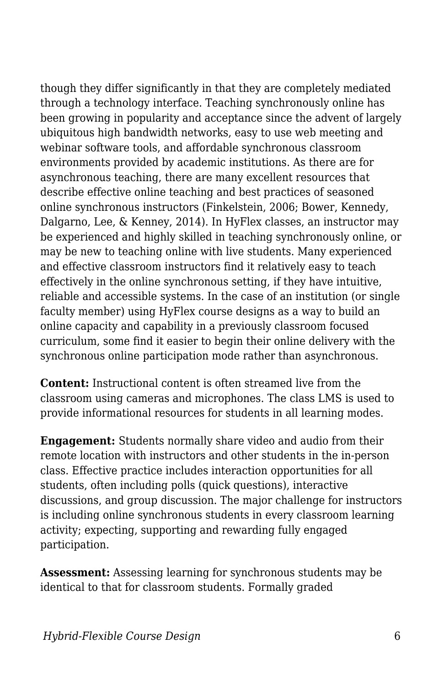though they differ significantly in that they are completely mediated through a technology interface. Teaching synchronously online has been growing in popularity and acceptance since the advent of largely ubiquitous high bandwidth networks, easy to use web meeting and webinar software tools, and affordable synchronous classroom environments provided by academic institutions. As there are for asynchronous teaching, there are many excellent resources that describe effective online teaching and best practices of seasoned online synchronous instructors (Finkelstein, 2006; Bower, Kennedy, Dalgarno, Lee, & Kenney, 2014). In HyFlex classes, an instructor may be experienced and highly skilled in teaching synchronously online, or may be new to teaching online with live students. Many experienced and effective classroom instructors find it relatively easy to teach effectively in the online synchronous setting, if they have intuitive, reliable and accessible systems. In the case of an institution (or single faculty member) using HyFlex course designs as a way to build an online capacity and capability in a previously classroom focused curriculum, some find it easier to begin their online delivery with the synchronous online participation mode rather than asynchronous.

**Content:** Instructional content is often streamed live from the classroom using cameras and microphones. The class LMS is used to provide informational resources for students in all learning modes.

**Engagement:** Students normally share video and audio from their remote location with instructors and other students in the in-person class. Effective practice includes interaction opportunities for all students, often including polls (quick questions), interactive discussions, and group discussion. The major challenge for instructors is including online synchronous students in every classroom learning activity; expecting, supporting and rewarding fully engaged participation.

**Assessment:** Assessing learning for synchronous students may be identical to that for classroom students. Formally graded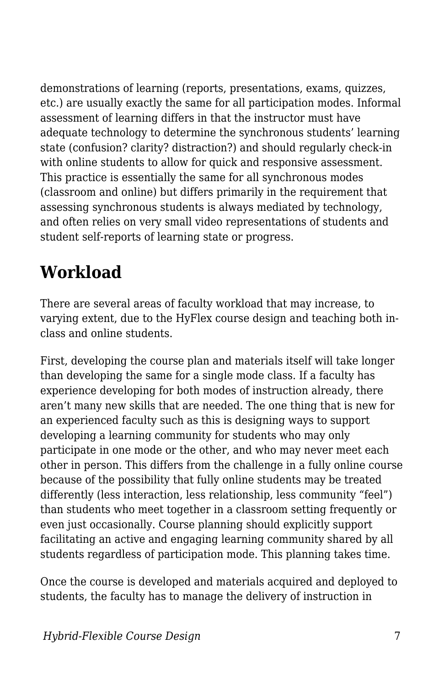demonstrations of learning (reports, presentations, exams, quizzes, etc.) are usually exactly the same for all participation modes. Informal assessment of learning differs in that the instructor must have adequate technology to determine the synchronous students' learning state (confusion? clarity? distraction?) and should regularly check-in with online students to allow for quick and responsive assessment. This practice is essentially the same for all synchronous modes (classroom and online) but differs primarily in the requirement that assessing synchronous students is always mediated by technology, and often relies on very small video representations of students and student self-reports of learning state or progress.

# **Workload**

There are several areas of faculty workload that may increase, to varying extent, due to the HyFlex course design and teaching both inclass and online students.

First, developing the course plan and materials itself will take longer than developing the same for a single mode class. If a faculty has experience developing for both modes of instruction already, there aren't many new skills that are needed. The one thing that is new for an experienced faculty such as this is designing ways to support developing a learning community for students who may only participate in one mode or the other, and who may never meet each other in person. This differs from the challenge in a fully online course because of the possibility that fully online students may be treated differently (less interaction, less relationship, less community "feel") than students who meet together in a classroom setting frequently or even just occasionally. Course planning should explicitly support facilitating an active and engaging learning community shared by all students regardless of participation mode. This planning takes time.

Once the course is developed and materials acquired and deployed to students, the faculty has to manage the delivery of instruction in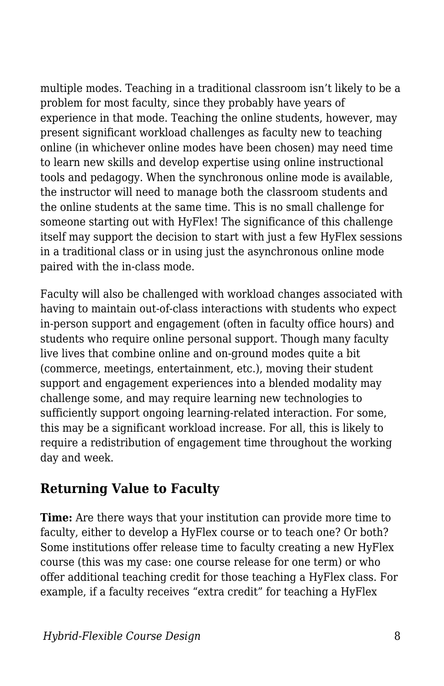multiple modes. Teaching in a traditional classroom isn't likely to be a problem for most faculty, since they probably have years of experience in that mode. Teaching the online students, however, may present significant workload challenges as faculty new to teaching online (in whichever online modes have been chosen) may need time to learn new skills and develop expertise using online instructional tools and pedagogy. When the synchronous online mode is available, the instructor will need to manage both the classroom students and the online students at the same time. This is no small challenge for someone starting out with HyFlex! The significance of this challenge itself may support the decision to start with just a few HyFlex sessions in a traditional class or in using just the asynchronous online mode paired with the in-class mode.

Faculty will also be challenged with workload changes associated with having to maintain out-of-class interactions with students who expect in-person support and engagement (often in faculty office hours) and students who require online personal support. Though many faculty live lives that combine online and on-ground modes quite a bit (commerce, meetings, entertainment, etc.), moving their student support and engagement experiences into a blended modality may challenge some, and may require learning new technologies to sufficiently support ongoing learning-related interaction. For some, this may be a significant workload increase. For all, this is likely to require a redistribution of engagement time throughout the working day and week.

#### **Returning Value to Faculty**

**Time:** Are there ways that your institution can provide more time to faculty, either to develop a HyFlex course or to teach one? Or both? Some institutions offer release time to faculty creating a new HyFlex course (this was my case: one course release for one term) or who offer additional teaching credit for those teaching a HyFlex class. For example, if a faculty receives "extra credit" for teaching a HyFlex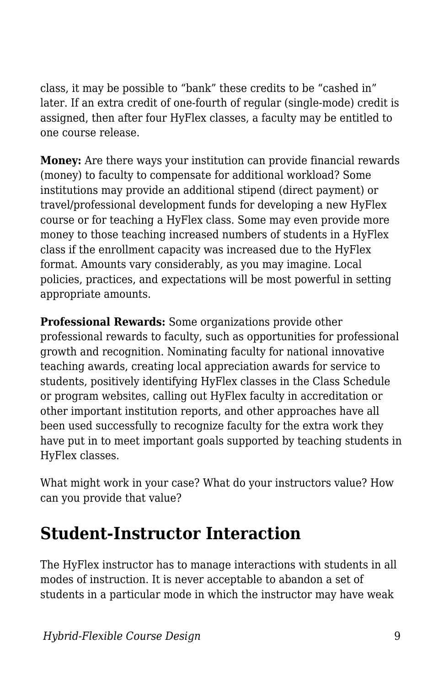class, it may be possible to "bank" these credits to be "cashed in" later. If an extra credit of one-fourth of regular (single-mode) credit is assigned, then after four HyFlex classes, a faculty may be entitled to one course release.

**Money:** Are there ways your institution can provide financial rewards (money) to faculty to compensate for additional workload? Some institutions may provide an additional stipend (direct payment) or travel/professional development funds for developing a new HyFlex course or for teaching a HyFlex class. Some may even provide more money to those teaching increased numbers of students in a HyFlex class if the enrollment capacity was increased due to the HyFlex format. Amounts vary considerably, as you may imagine. Local policies, practices, and expectations will be most powerful in setting appropriate amounts.

**Professional Rewards:** Some organizations provide other professional rewards to faculty, such as opportunities for professional growth and recognition. Nominating faculty for national innovative teaching awards, creating local appreciation awards for service to students, positively identifying HyFlex classes in the Class Schedule or program websites, calling out HyFlex faculty in accreditation or other important institution reports, and other approaches have all been used successfully to recognize faculty for the extra work they have put in to meet important goals supported by teaching students in HyFlex classes.

What might work in your case? What do your instructors value? How can you provide that value?

# **Student-Instructor Interaction**

The HyFlex instructor has to manage interactions with students in all modes of instruction. It is never acceptable to abandon a set of students in a particular mode in which the instructor may have weak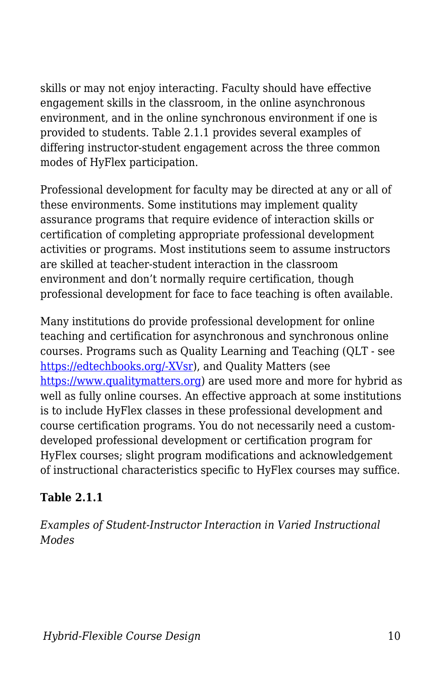skills or may not enjoy interacting. Faculty should have effective engagement skills in the classroom, in the online asynchronous environment, and in the online synchronous environment if one is provided to students. Table 2.1.1 provides several examples of differing instructor-student engagement across the three common modes of HyFlex participation.

Professional development for faculty may be directed at any or all of these environments. Some institutions may implement quality assurance programs that require evidence of interaction skills or certification of completing appropriate professional development activities or programs. Most institutions seem to assume instructors are skilled at teacher-student interaction in the classroom environment and don't normally require certification, though professional development for face to face teaching is often available.

Many institutions do provide professional development for online teaching and certification for asynchronous and synchronous online courses. Programs such as Quality Learning and Teaching (QLT - see [https://edtechbooks.org/-XVsr](http://courseredesign.csuprojects.org/wp/qualityassurance/)), and Quality Matters (see <https://www.qualitymatters.org>) are used more and more for hybrid as well as fully online courses. An effective approach at some institutions is to include HyFlex classes in these professional development and course certification programs. You do not necessarily need a customdeveloped professional development or certification program for HyFlex courses; slight program modifications and acknowledgement of instructional characteristics specific to HyFlex courses may suffice.

#### **Table 2.1.1**

*Examples of Student-Instructor Interaction in Varied Instructional Modes*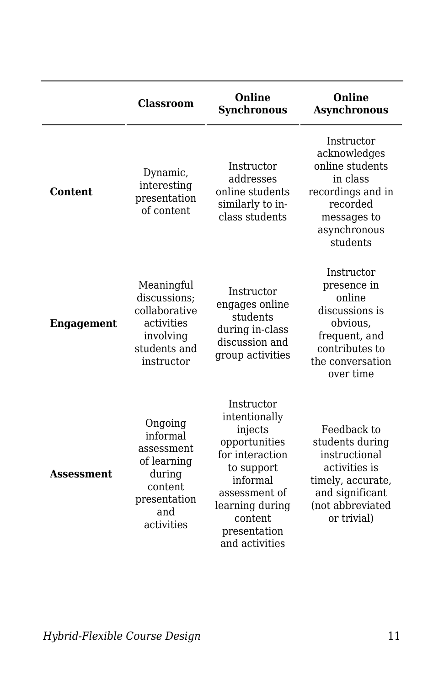|                   | Classroom                                                                                                  | Online<br><b>Synchronous</b>                                                                                                                                                          | Online<br><b>Asynchronous</b>                                                                                                               |
|-------------------|------------------------------------------------------------------------------------------------------------|---------------------------------------------------------------------------------------------------------------------------------------------------------------------------------------|---------------------------------------------------------------------------------------------------------------------------------------------|
| Content           | Dynamic,<br>interesting<br>presentation<br>of content                                                      | Instructor<br>addresses<br>online students<br>similarly to in-<br>class students                                                                                                      | Instructor<br>acknowledges<br>online students<br>in class<br>recordings and in<br>recorded<br>messages to<br>asynchronous<br>students       |
| <b>Engagement</b> | Meaningful<br>discussions;<br>collaborative<br>activities<br>involving<br>students and<br>instructor       | Instructor<br>engages online<br>students<br>during in-class<br>discussion and<br>group activities                                                                                     | Instructor<br>presence in<br>online<br>discussions is<br>obvious,<br>frequent, and<br>contributes to<br>the conversation<br>over time       |
| Assessment        | Ongoing<br>informal<br>assessment<br>of learning<br>during<br>content<br>presentation<br>and<br>activities | Instructor<br>intentionally<br>injects<br>opportunities<br>for interaction<br>to support<br>informal<br>assessment of<br>learning during<br>content<br>presentation<br>and activities | Feedback to<br>students during<br>instructional<br>activities is<br>timely, accurate,<br>and significant<br>(not abbreviated<br>or trivial) |

*Hybrid-Flexible Course Design* 11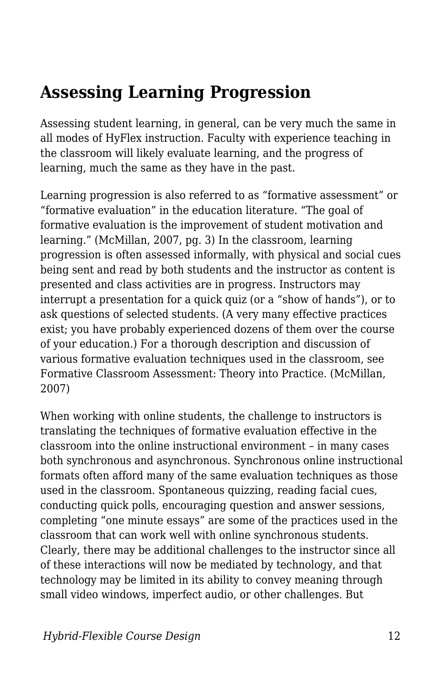# **Assessing Learning Progression**

Assessing student learning, in general, can be very much the same in all modes of HyFlex instruction. Faculty with experience teaching in the classroom will likely evaluate learning, and the progress of learning, much the same as they have in the past.

Learning progression is also referred to as "formative assessment" or "formative evaluation" in the education literature. "The goal of formative evaluation is the improvement of student motivation and learning." (McMillan, 2007, pg. 3) In the classroom, learning progression is often assessed informally, with physical and social cues being sent and read by both students and the instructor as content is presented and class activities are in progress. Instructors may interrupt a presentation for a quick quiz (or a "show of hands"), or to ask questions of selected students. (A very many effective practices exist; you have probably experienced dozens of them over the course of your education.) For a thorough description and discussion of various formative evaluation techniques used in the classroom, see Formative Classroom Assessment: Theory into Practice. (McMillan, 2007)

When working with online students, the challenge to instructors is translating the techniques of formative evaluation effective in the classroom into the online instructional environment – in many cases both synchronous and asynchronous. Synchronous online instructional formats often afford many of the same evaluation techniques as those used in the classroom. Spontaneous quizzing, reading facial cues, conducting quick polls, encouraging question and answer sessions, completing "one minute essays" are some of the practices used in the classroom that can work well with online synchronous students. Clearly, there may be additional challenges to the instructor since all of these interactions will now be mediated by technology, and that technology may be limited in its ability to convey meaning through small video windows, imperfect audio, or other challenges. But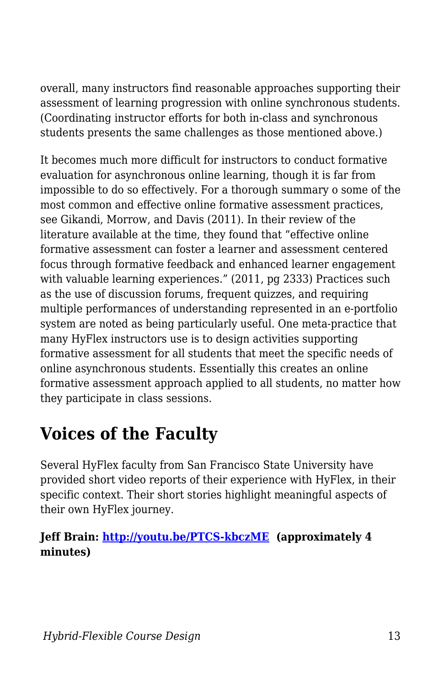overall, many instructors find reasonable approaches supporting their assessment of learning progression with online synchronous students. (Coordinating instructor efforts for both in-class and synchronous students presents the same challenges as those mentioned above.)

It becomes much more difficult for instructors to conduct formative evaluation for asynchronous online learning, though it is far from impossible to do so effectively. For a thorough summary o some of the most common and effective online formative assessment practices, see Gikandi, Morrow, and Davis (2011). In their review of the literature available at the time, they found that "effective online formative assessment can foster a learner and assessment centered focus through formative feedback and enhanced learner engagement with valuable learning experiences." (2011, pg 2333) Practices such as the use of discussion forums, frequent quizzes, and requiring multiple performances of understanding represented in an e-portfolio system are noted as being particularly useful. One meta-practice that many HyFlex instructors use is to design activities supporting formative assessment for all students that meet the specific needs of online asynchronous students. Essentially this creates an online formative assessment approach applied to all students, no matter how they participate in class sessions.

# **Voices of the Faculty**

Several HyFlex faculty from San Francisco State University have provided short video reports of their experience with HyFlex, in their specific context. Their short stories highlight meaningful aspects of their own HyFlex journey.

#### **Jeff Brain:<http://youtu.be/PTCS-kbczME> (approximately 4 minutes)**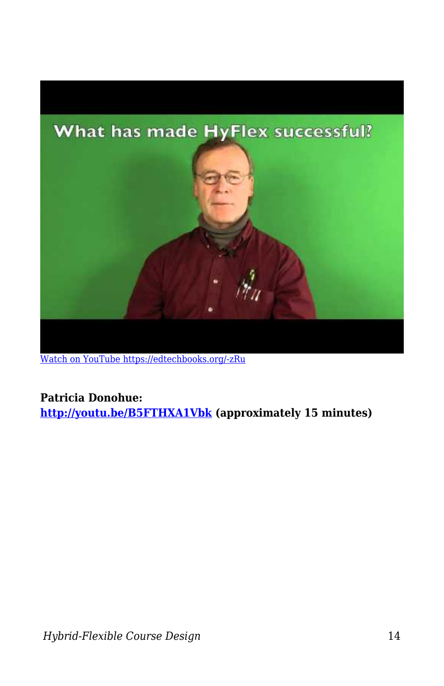

[Watch on YouTube https://edtechbooks.org/-zRu](https://www.youtube.com/embed/PTCS-kbczME?autoplay=1&rel=0&showinfo=0&modestbranding=1)

#### **Patricia Donohue:**

**<http://youtu.be/B5FTHXA1Vbk> (approximately 15 minutes)**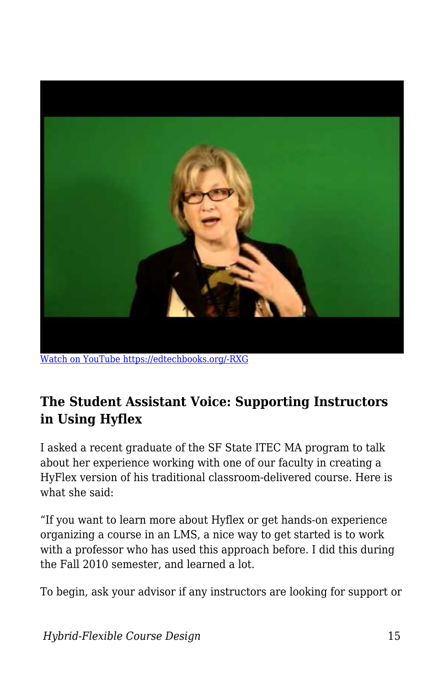

[Watch on YouTube https://edtechbooks.org/-RXG](https://www.youtube.com/embed/B5FTHXA1Vbk?autoplay=1&rel=0&showinfo=0&modestbranding=1)

### **The Student Assistant Voice: Supporting Instructors in Using Hyflex**

I asked a recent graduate of the SF State ITEC MA program to talk about her experience working with one of our faculty in creating a HyFlex version of his traditional classroom-delivered course. Here is what she said:

"If you want to learn more about Hyflex or get hands-on experience organizing a course in an LMS, a nice way to get started is to work with a professor who has used this approach before. I did this during the Fall 2010 semester, and learned a lot.

To begin, ask your advisor if any instructors are looking for support or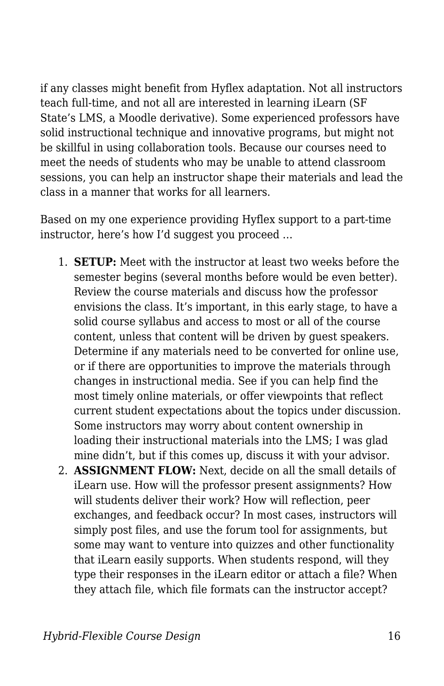if any classes might benefit from Hyflex adaptation. Not all instructors teach full-time, and not all are interested in learning iLearn (SF State's LMS, a Moodle derivative). Some experienced professors have solid instructional technique and innovative programs, but might not be skillful in using collaboration tools. Because our courses need to meet the needs of students who may be unable to attend classroom sessions, you can help an instructor shape their materials and lead the class in a manner that works for all learners.

Based on my one experience providing Hyflex support to a part-time instructor, here's how I'd suggest you proceed …

- 1. **SETUP:** Meet with the instructor at least two weeks before the semester begins (several months before would be even better). Review the course materials and discuss how the professor envisions the class. It's important, in this early stage, to have a solid course syllabus and access to most or all of the course content, unless that content will be driven by guest speakers. Determine if any materials need to be converted for online use, or if there are opportunities to improve the materials through changes in instructional media. See if you can help find the most timely online materials, or offer viewpoints that reflect current student expectations about the topics under discussion. Some instructors may worry about content ownership in loading their instructional materials into the LMS; I was glad mine didn't, but if this comes up, discuss it with your advisor.
- 2. **ASSIGNMENT FLOW:** Next, decide on all the small details of iLearn use. How will the professor present assignments? How will students deliver their work? How will reflection, peer exchanges, and feedback occur? In most cases, instructors will simply post files, and use the forum tool for assignments, but some may want to venture into quizzes and other functionality that iLearn easily supports. When students respond, will they type their responses in the iLearn editor or attach a file? When they attach file, which file formats can the instructor accept?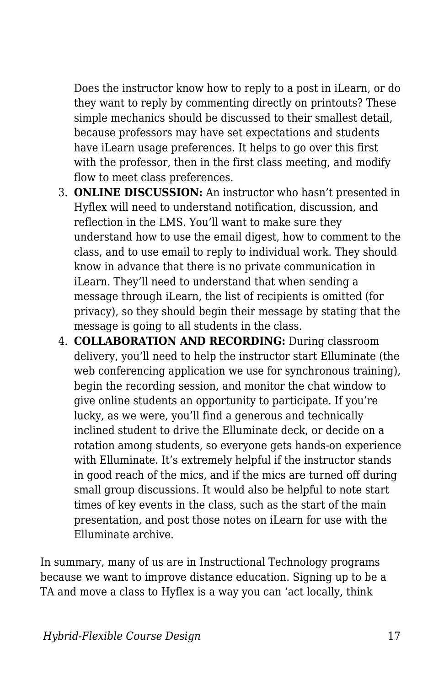Does the instructor know how to reply to a post in iLearn, or do they want to reply by commenting directly on printouts? These simple mechanics should be discussed to their smallest detail, because professors may have set expectations and students have iLearn usage preferences. It helps to go over this first with the professor, then in the first class meeting, and modify flow to meet class preferences.

- 3. **ONLINE DISCUSSION:** An instructor who hasn't presented in Hyflex will need to understand notification, discussion, and reflection in the LMS. You'll want to make sure they understand how to use the email digest, how to comment to the class, and to use email to reply to individual work. They should know in advance that there is no private communication in iLearn. They'll need to understand that when sending a message through iLearn, the list of recipients is omitted (for privacy), so they should begin their message by stating that the message is going to all students in the class.
- 4. **COLLABORATION AND RECORDING:** During classroom delivery, you'll need to help the instructor start Elluminate (the web conferencing application we use for synchronous training), begin the recording session, and monitor the chat window to give online students an opportunity to participate. If you're lucky, as we were, you'll find a generous and technically inclined student to drive the Elluminate deck, or decide on a rotation among students, so everyone gets hands-on experience with Elluminate. It's extremely helpful if the instructor stands in good reach of the mics, and if the mics are turned off during small group discussions. It would also be helpful to note start times of key events in the class, such as the start of the main presentation, and post those notes on iLearn for use with the Elluminate archive.

In summary, many of us are in Instructional Technology programs because we want to improve distance education. Signing up to be a TA and move a class to Hyflex is a way you can 'act locally, think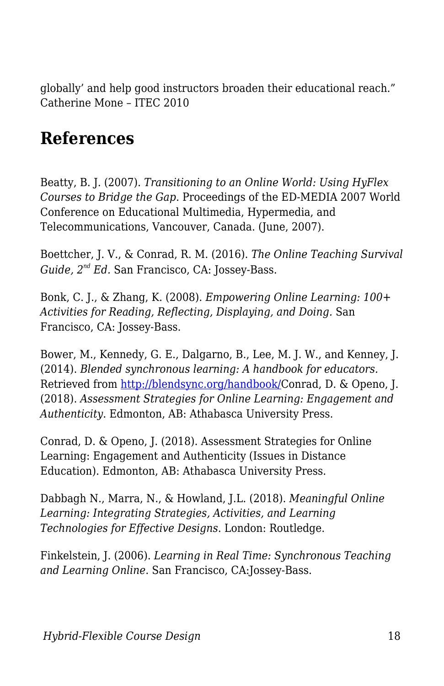globally' and help good instructors broaden their educational reach." Catherine Mone – ITEC 2010

# **References**

Beatty, B. J. (2007). *Transitioning to an Online World: Using HyFlex Courses to Bridge the Gap*. Proceedings of the ED-MEDIA 2007 World Conference on Educational Multimedia, Hypermedia, and Telecommunications, Vancouver, Canada. (June, 2007).

Boettcher, J. V., & Conrad, R. M. (2016). *The Online Teaching Survival Guide, 2nd Ed.* San Francisco, CA: Jossey-Bass.

Bonk, C. J., & Zhang, K. (2008). *Empowering Online Learning: 100+ Activities for Reading, Reflecting, Displaying, and Doing.* San Francisco, CA: Jossey-Bass.

Bower, M., Kennedy, G. E., Dalgarno, B., Lee, M. J. W., and Kenney, J. (2014). *Blended synchronous learning: A handbook for educators.* Retrieved from [http://blendsync.org/handbook/C](http://blendsync.org/handbook/)onrad, D. & Openo, J. (2018). *Assessment Strategies for Online Learning: Engagement and Authenticity*. Edmonton, AB: Athabasca University Press.

Conrad, D. & Openo, J. (2018). Assessment Strategies for Online Learning: Engagement and Authenticity (Issues in Distance Education). Edmonton, AB: Athabasca University Press.

Dabbagh N., Marra, N., & Howland, J.L. (2018). *Meaningful Online Learning: Integrating Strategies, Activities, and Learning Technologies for Effective Designs*. London: Routledge.

Finkelstein, J. (2006). *Learning in Real Time: Synchronous Teaching and Learning Online*. San Francisco, CA:Jossey-Bass.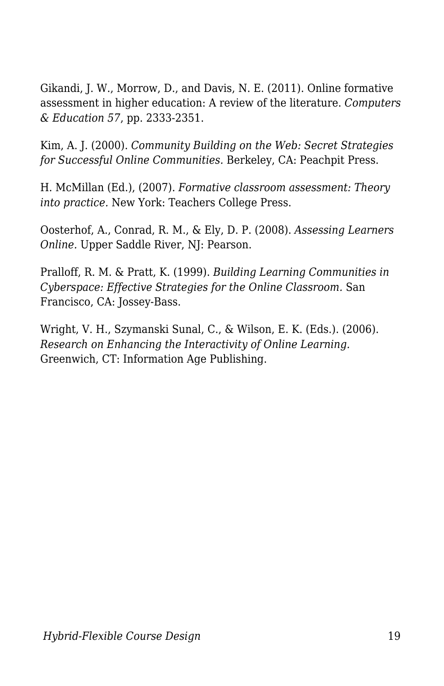Gikandi, J. W., Morrow, D., and Davis, N. E. (2011). Online formative assessment in higher education: A review of the literature. *Computers & Education 57*, pp. 2333-2351.

Kim, A. J. (2000). *Community Building on the Web: Secret Strategies for Successful Online Communities.* Berkeley, CA: Peachpit Press.

H. McMillan (Ed.), (2007). *Formative classroom assessment: Theory into practice.* New York: Teachers College Press.

Oosterhof, A., Conrad, R. M., & Ely, D. P. (2008). *Assessing Learners Online.* Upper Saddle River, NJ: Pearson.

Pralloff, R. M. & Pratt, K. (1999). *Building Learning Communities in Cyberspace: Effective Strategies for the Online Classroom.* San Francisco, CA: Jossey-Bass.

Wright, V. H., Szymanski Sunal, C., & Wilson, E. K. (Eds.). (2006). *Research on Enhancing the Interactivity of Online Learning.* Greenwich, CT: Information Age Publishing.